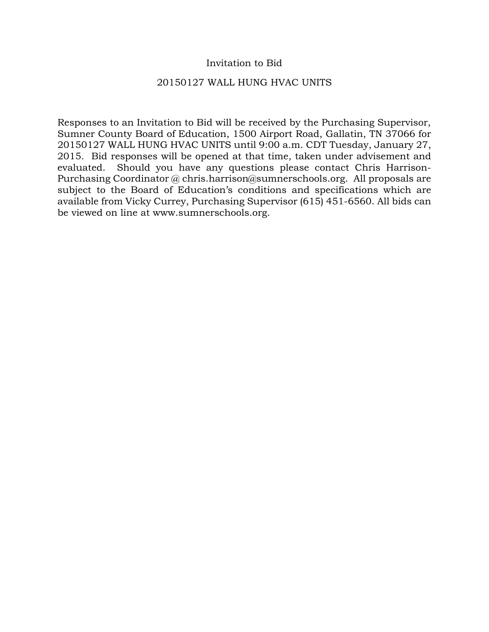## Invitation to Bid

### 20150127 WALL HUNG HVAC UNITS

Responses to an Invitation to Bid will be received by the Purchasing Supervisor, Sumner County Board of Education, 1500 Airport Road, Gallatin, TN 37066 for 20150127 WALL HUNG HVAC UNITS until 9:00 a.m. CDT Tuesday, January 27, 2015. Bid responses will be opened at that time, taken under advisement and evaluated. Should you have any questions please contact Chris Harrison-Purchasing Coordinator @ chris.harrison@sumnerschools.org. All proposals are subject to the Board of Education's conditions and specifications which are available from Vicky Currey, Purchasing Supervisor (615) 451-6560. All bids can be viewed on line at www.sumnerschools.org.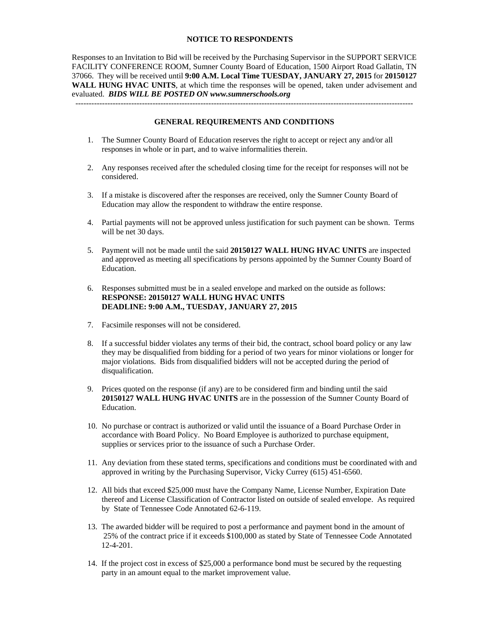#### **NOTICE TO RESPONDENTS**

Responses to an Invitation to Bid will be received by the Purchasing Supervisor in the SUPPORT SERVICE FACILITY CONFERENCE ROOM, Sumner County Board of Education, 1500 Airport Road Gallatin, TN 37066. They will be received until **9:00 A.M. Local Time TUESDAY, JANUARY 27, 2015** for **20150127 WALL HUNG HVAC UNITS**, at which time the responses will be opened, taken under advisement and evaluated. *BIDS WILL BE POSTED ON www.sumnerschools.org* 

**GENERAL REQUIREMENTS AND CONDITIONS** 

-------------------------------------------------------------------------------------------------------------------------------

- 1. The Sumner County Board of Education reserves the right to accept or reject any and/or all responses in whole or in part, and to waive informalities therein.
- 2. Any responses received after the scheduled closing time for the receipt for responses will not be considered.
- 3. If a mistake is discovered after the responses are received, only the Sumner County Board of Education may allow the respondent to withdraw the entire response.
- 4. Partial payments will not be approved unless justification for such payment can be shown. Terms will be net 30 days.
- 5. Payment will not be made until the said **20150127 WALL HUNG HVAC UNITS** are inspected and approved as meeting all specifications by persons appointed by the Sumner County Board of Education.
- 6. Responses submitted must be in a sealed envelope and marked on the outside as follows: **RESPONSE: 20150127 WALL HUNG HVAC UNITS DEADLINE: 9:00 A.M., TUESDAY, JANUARY 27, 2015**
- 7. Facsimile responses will not be considered.
- 8. If a successful bidder violates any terms of their bid, the contract, school board policy or any law they may be disqualified from bidding for a period of two years for minor violations or longer for major violations. Bids from disqualified bidders will not be accepted during the period of disqualification.
- 9. Prices quoted on the response (if any) are to be considered firm and binding until the said **20150127 WALL HUNG HVAC UNITS** are in the possession of the Sumner County Board of Education.
- 10. No purchase or contract is authorized or valid until the issuance of a Board Purchase Order in accordance with Board Policy. No Board Employee is authorized to purchase equipment, supplies or services prior to the issuance of such a Purchase Order.
- 11. Any deviation from these stated terms, specifications and conditions must be coordinated with and approved in writing by the Purchasing Supervisor, Vicky Currey (615) 451-6560.
- 12. All bids that exceed \$25,000 must have the Company Name, License Number, Expiration Date thereof and License Classification of Contractor listed on outside of sealed envelope. As required by State of Tennessee Code Annotated 62-6-119.
- 13. The awarded bidder will be required to post a performance and payment bond in the amount of 25% of the contract price if it exceeds \$100,000 as stated by State of Tennessee Code Annotated 12-4-201.
- 14. If the project cost in excess of \$25,000 a performance bond must be secured by the requesting party in an amount equal to the market improvement value.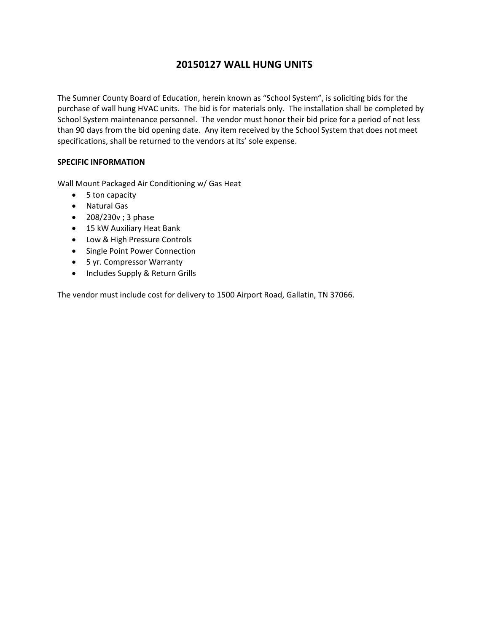# **20150127 WALL HUNG UNITS**

The Sumner County Board of Education, herein known as "School System", is soliciting bids for the purchase of wall hung HVAC units. The bid is for materials only. The installation shall be completed by School System maintenance personnel. The vendor must honor their bid price for a period of not less than 90 days from the bid opening date. Any item received by the School System that does not meet specifications, shall be returned to the vendors at its' sole expense.

### **SPECIFIC INFORMATION**

Wall Mount Packaged Air Conditioning w/ Gas Heat

- 5 ton capacity
- Natural Gas
- 208/230v; 3 phase
- 15 kW Auxiliary Heat Bank
- Low & High Pressure Controls
- Single Point Power Connection
- 5 yr. Compressor Warranty
- Includes Supply & Return Grills

The vendor must include cost for delivery to 1500 Airport Road, Gallatin, TN 37066.